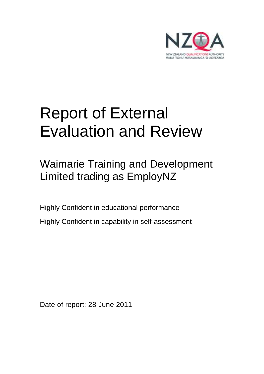

# Report of External Evaluation and Review

## Waimarie Training and Development Limited trading as EmployNZ

Highly Confident in educational performance Highly Confident in capability in self-assessment

Date of report: 28 June 2011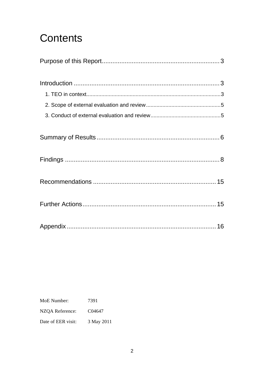## **Contents**

MoE Number: 7391 NZQA Reference: C04647 Date of EER visit: 3 May 2011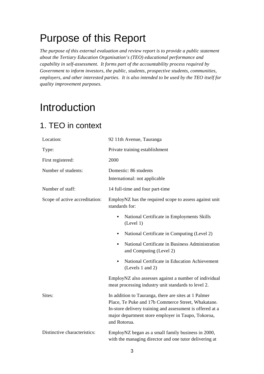## Purpose of this Report

*The purpose of this external evaluation and review report is to provide a public statement about the Tertiary Education Organisation's (TEO) educational performance and capability in self-assessment. It forms part of the accountability process required by Government to inform investors, the public, students, prospective students, communities, employers, and other interested parties. It is also intended to be used by the TEO itself for quality improvement purposes.* 

## Introduction

### 1. TEO in context

| Location:                      | 92 11th Avenue, Tauranga                                                                                                                                                                                                                      |
|--------------------------------|-----------------------------------------------------------------------------------------------------------------------------------------------------------------------------------------------------------------------------------------------|
| Type:                          | Private training establishment                                                                                                                                                                                                                |
| First registered:              | 2000                                                                                                                                                                                                                                          |
| Number of students:            | Domestic: 86 students<br>International: not applicable                                                                                                                                                                                        |
| Number of staff:               | 14 full-time and four part-time                                                                                                                                                                                                               |
| Scope of active accreditation: | EmployNZ has the required scope to assess against unit<br>standards for:                                                                                                                                                                      |
|                                | National Certificate in Employments Skills<br>(Level 1)                                                                                                                                                                                       |
|                                | National Certificate in Computing (Level 2)                                                                                                                                                                                                   |
|                                | National Certificate in Business Administration<br>and Computing (Level 2)                                                                                                                                                                    |
|                                | National Certificate in Education Achievement<br>(Levels 1 and 2)                                                                                                                                                                             |
|                                | EmployNZ also assesses against a number of individual<br>meat processing industry unit standards to level 2.                                                                                                                                  |
| Sites:                         | In addition to Tauranga, there are sites at 1 Palmer<br>Place, Te Puke and 17b Commerce Street, Whakatane.<br>In-store delivery training and assessment is offered at a<br>major department store employer in Taupo, Tokoroa,<br>and Rotorua. |
| Distinctive characteristics:   | EmployNZ began as a small family business in 2000,<br>with the managing director and one tutor delivering at                                                                                                                                  |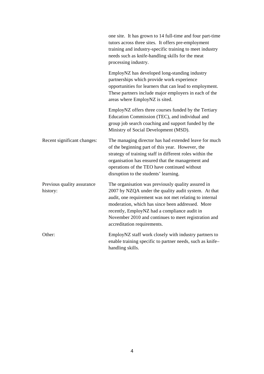|                                        | one site. It has grown to 14 full-time and four part-time<br>tutors across three sites. It offers pre-employment<br>training and industry-specific training to meet industry<br>needs such as knife-handling skills for the meat<br>processing industry.                                                                                                         |
|----------------------------------------|------------------------------------------------------------------------------------------------------------------------------------------------------------------------------------------------------------------------------------------------------------------------------------------------------------------------------------------------------------------|
|                                        | EmployNZ has developed long-standing industry<br>partnerships which provide work experience<br>opportunities for learners that can lead to employment.<br>These partners include major employers in each of the<br>areas where EmployNZ is sited.                                                                                                                |
|                                        | EmployNZ offers three courses funded by the Tertiary<br>Education Commission (TEC), and individual and<br>group job search coaching and support funded by the<br>Ministry of Social Development (MSD).                                                                                                                                                           |
| Recent significant changes:            | The managing director has had extended leave for much<br>of the beginning part of this year. However, the<br>strategy of training staff in different roles within the<br>organisation has ensured that the management and<br>operations of the TEO have continued without<br>disruption to the students' learning.                                               |
| Previous quality assurance<br>history: | The organisation was previously quality assured in<br>2007 by NZQA under the quality audit system. At that<br>audit, one requirement was not met relating to internal<br>moderation, which has since been addressed. More<br>recently, EmployNZ had a compliance audit in<br>November 2010 and continues to meet registration and<br>accreditation requirements. |
| Other:                                 | EmployNZ staff work closely with industry partners to<br>enable training specific to partner needs, such as knife-<br>handling skills.                                                                                                                                                                                                                           |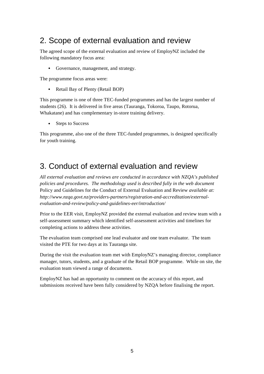### 2. Scope of external evaluation and review

The agreed scope of the external evaluation and review of EmployNZ included the following mandatory focus area:

• Governance, management, and strategy.

The programme focus areas were:

• Retail Bay of Plenty (Retail BOP)

This programme is one of three TEC-funded programmes and has the largest number of students (26). It is delivered in five areas (Tauranga, Tokoroa, Taupo, Rotorua, Whakatane) and has complementary in-store training delivery.

• Steps to Success

This programme, also one of the three TEC-funded programmes, is designed specifically for youth training.

### 3. Conduct of external evaluation and review

*All external evaluation and reviews are conducted in accordance with NZQA's published policies and procedures. The methodology used is described fully in the web document*  Policy and Guidelines for the Conduct of External Evaluation and Review *available at: http://www.nzqa.govt.nz/providers-partners/registration-and-accreditation/externalevaluation-and-review/policy-and-guidelines-eer/introduction/* 

Prior to the EER visit, EmployNZ provided the external evaluation and review team with a self-assessment summary which identified self-assessment activities and timelines for completing actions to address these activities.

The evaluation team comprised one lead evaluator and one team evaluator. The team visited the PTE for two days at its Tauranga site.

During the visit the evaluation team met with EmployNZ's managing director, compliance manager, tutors, students, and a graduate of the Retail BOP programme. While on site, the evaluation team viewed a range of documents.

EmployNZ has had an opportunity to comment on the accuracy of this report, and submissions received have been fully considered by NZQA before finalising the report.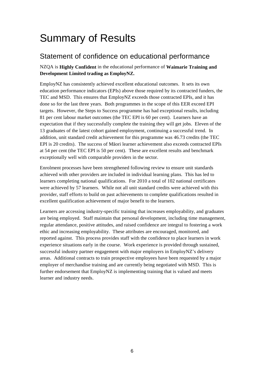## Summary of Results

### Statement of confidence on educational performance

#### NZQA is **Highly Confident** in the educational performance of **Waimarie Training and Development Limited trading as EmployNZ.**

EmployNZ has consistently achieved excellent educational outcomes. It sets its own education performance indicators (EPIs) above those required by its contracted funders, the TEC and MSD. This ensures that EmployNZ exceeds those contracted EPIs, and it has done so for the last three years. Both programmes in the scope of this EER exceed EPI targets. However, the Steps to Success programme has had exceptional results, including 81 per cent labour market outcomes (the TEC EPI is 60 per cent). Learners have an expectation that if they successfully complete the training they will get jobs. Eleven of the 13 graduates of the latest cohort gained employment, continuing a successful trend. In addition, unit standard credit achievement for this programme was 46.73 credits (the TEC EPI is 20 credits). The success of Māori learner achievement also exceeds contracted EPIs at 54 per cent (the TEC EPI is 50 per cent). These are excellent results and benchmark exceptionally well with comparable providers in the sector.

Enrolment processes have been strengthened following review to ensure unit standards achieved with other providers are included in individual learning plans. This has led to learners completing national qualifications. For 2010 a total of 102 national certificates were achieved by 57 learners. While not all unit standard credits were achieved with this provider, staff efforts to build on past achievements to complete qualifications resulted in excellent qualification achievement of major benefit to the learners.

Learners are accessing industry-specific training that increases employability, and graduates are being employed. Staff maintain that personal development, including time management, regular attendance, positive attitudes, and raised confidence are integral to fostering a work ethic and increasing employability. These attributes are encouraged, monitored, and reported against. This process provides staff with the confidence to place learners in work experience situations early in the course. Work experience is provided through sustained, successful industry partner engagement with major employers in EmployNZ's delivery areas. Additional contracts to train prospective employees have been requested by a major employer of merchandise training and are currently being negotiated with MSD. This is further endorsement that EmployNZ is implementing training that is valued and meets learner and industry needs.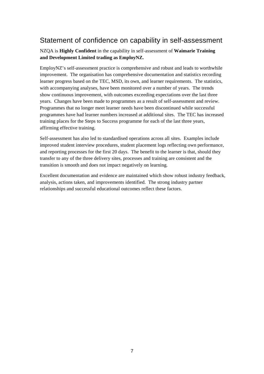### Statement of confidence on capability in self-assessment

NZQA is **Highly Confident** in the capability in self-assessment of **Waimarie Training and Development Limited trading as EmployNZ.**

EmployNZ's self-assessment practice is comprehensive and robust and leads to worthwhile improvement. The organisation has comprehensive documentation and statistics recording learner progress based on the TEC, MSD, its own, and learner requirements. The statistics, with accompanying analyses, have been monitored over a number of years. The trends show continuous improvement, with outcomes exceeding expectations over the last three years. Changes have been made to programmes as a result of self-assessment and review. Programmes that no longer meet learner needs have been discontinued while successful programmes have had learner numbers increased at additional sites. The TEC has increased training places for the Steps to Success programme for each of the last three years, affirming effective training.

Self-assessment has also led to standardised operations across all sites. Examples include improved student interview procedures, student placement logs reflecting own performance, and reporting processes for the first 20 days. The benefit to the learner is that, should they transfer to any of the three delivery sites, processes and training are consistent and the transition is smooth and does not impact negatively on learning.

Excellent documentation and evidence are maintained which show robust industry feedback, analysis, actions taken, and improvements identified. The strong industry partner relationships and successful educational outcomes reflect these factors.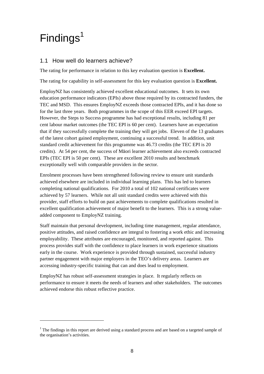## $Findings<sup>1</sup>$

 $\overline{a}$ 

#### 1.1 How well do learners achieve?

The rating for performance in relation to this key evaluation question is **Excellent.**

The rating for capability in self-assessment for this key evaluation question is **Excellent.**

EmployNZ has consistently achieved excellent educational outcomes. It sets its own education performance indicators (EPIs) above those required by its contracted funders, the TEC and MSD. This ensures EmployNZ exceeds those contracted EPIs, and it has done so for the last three years. Both programmes in the scope of this EER exceed EPI targets. However, the Steps to Success programme has had exceptional results, including 81 per cent labour market outcomes (the TEC EPI is 60 per cent). Learners have an expectation that if they successfully complete the training they will get jobs. Eleven of the 13 graduates of the latest cohort gained employment, continuing a successful trend. In addition, unit standard credit achievement for this programme was 46.73 credits (the TEC EPI is 20 credits). At 54 per cent, the success of Māori learner achievement also exceeds contracted EPIs (TEC EPI is 50 per cent). These are excellent 2010 results and benchmark exceptionally well with comparable providers in the sector.

Enrolment processes have been strengthened following review to ensure unit standards achieved elsewhere are included in individual learning plans. This has led to learners completing national qualifications. For 2010 a total of 102 national certificates were achieved by 57 learners. While not all unit standard credits were achieved with this provider, staff efforts to build on past achievements to complete qualifications resulted in excellent qualification achievement of major benefit to the learners. This is a strong valueadded component to EmployNZ training.

Staff maintain that personal development, including time management, regular attendance, positive attitudes, and raised confidence are integral to fostering a work ethic and increasing employability. These attributes are encouraged, monitored, and reported against. This process provides staff with the confidence to place learners in work experience situations early in the course. Work experience is provided through sustained, successful industry partner engagement with major employers in the TEO's delivery areas. Learners are accessing industry-specific training that can and does lead to employment.

EmployNZ has robust self-assessment strategies in place. It regularly reflects on performance to ensure it meets the needs of learners and other stakeholders. The outcomes achieved endorse this robust reflective practice.

 $1$  The findings in this report are derived using a standard process and are based on a targeted sample of the organisation's activities.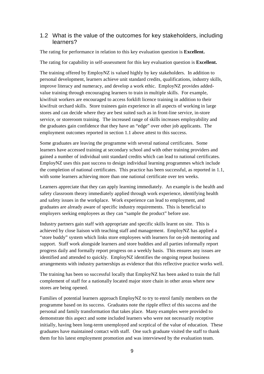#### 1.2 What is the value of the outcomes for key stakeholders, including learners?

The rating for performance in relation to this key evaluation question is **Excellent.**

The rating for capability in self-assessment for this key evaluation question is **Excellent.**

The training offered by EmployNZ is valued highly by key stakeholders. In addition to personal development, learners achieve unit standard credits, qualifications, industry skills, improve literacy and numeracy, and develop a work ethic. EmployNZ provides addedvalue training through encouraging learners to train in multiple skills. For example, kiwifruit workers are encouraged to access forklift licence training in addition to their kiwifruit orchard skills. Store trainees gain experience in all aspects of working in large stores and can decide where they are best suited such as in front-line service, in-store service, or storeroom training. The increased range of skills increases employability and the graduates gain confidence that they have an "edge" over other job applicants. The employment outcomes reported in section 1.1 above attest to this success.

Some graduates are leaving the programme with several national certificates. Some learners have accessed training at secondary school and with other training providers and gained a number of individual unit standard credits which can lead to national certificates. EmployNZ uses this past success to design individual learning programmes which include the completion of national certificates. This practice has been successful, as reported in 1.1, with some learners achieving more than one national certificate over ten weeks.

Learners appreciate that they can apply learning immediately. An example is the health and safety classroom theory immediately applied through work experience, identifying health and safety issues in the workplace. Work experience can lead to employment, and graduates are already aware of specific industry requirements. This is beneficial to employers seeking employees as they can "sample the product" before use.

Industry partners gain staff with appropriate and specific skills learnt on site. This is achieved by close liaison with teaching staff and management. EmployNZ has applied a "store buddy" system which links store employees with learners for on-job mentoring and support. Staff work alongside learners and store buddies and all parties informally report progress daily and formally report progress on a weekly basis. This ensures any issues are identified and attended to quickly. EmployNZ identifies the ongoing repeat business arrangements with industry partnerships as evidence that this reflective practice works well.

The training has been so successful locally that EmployNZ has been asked to train the full complement of staff for a nationally located major store chain in other areas where new stores are being opened.

Families of potential learners approach EmployNZ to try to enrol family members on the programme based on its success. Graduates note the ripple effect of this success and the personal and family transformation that takes place. Many examples were provided to demonstrate this aspect and some included learners who were not necessarily receptive initially, having been long-term unemployed and sceptical of the value of education. These graduates have maintained contact with staff. One such graduate visited the staff to thank them for his latest employment promotion and was interviewed by the evaluation team.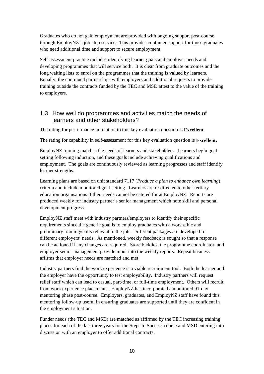Graduates who do not gain employment are provided with ongoing support post-course through EmployNZ's job club service. This provides continued support for those graduates who need additional time and support to secure employment.

Self-assessment practice includes identifying learner goals and employer needs and developing programmes that will service both. It is clear from graduate outcomes and the long waiting lists to enrol on the programmes that the training is valued by learners. Equally, the continued partnerships with employers and additional requests to provide training outside the contracts funded by the TEC and MSD attest to the value of the training to employers.

#### 1.3 How well do programmes and activities match the needs of learners and other stakeholders?

The rating for performance in relation to this key evaluation question is **Excellent.**

The rating for capability in self-assessment for this key evaluation question is **Excellent.**

EmployNZ training matches the needs of learners and stakeholders. Learners begin goalsetting following induction, and these goals include achieving qualifications and employment. The goals are continuously reviewed as learning progresses and staff identify learner strengths.

Learning plans are based on unit standard 7117 (*Produce a plan to enhance own learning*) criteria and include monitored goal-setting. Learners are re-directed to other tertiary education organisations if their needs cannot be catered for at EmployNZ. Reports are produced weekly for industry partner's senior management which note skill and personal development progress.

EmployNZ staff meet with industry partners/employers to identify their specific requirements since the generic goal is to employ graduates with a work ethic and preliminary training/skills relevant to the job. Different packages are developed for different employers' needs. As mentioned, weekly feedback is sought so that a response can be actioned if any changes are required. Store buddies, the programme coordinator, and employer senior management provide input into the weekly reports. Repeat business affirms that employer needs are matched and met.

Industry partners find the work experience is a viable recruitment tool. Both the learner and the employer have the opportunity to test employability. Industry partners will request relief staff which can lead to casual, part-time, or full-time employment. Others will recruit from work experience placements. EmployNZ has incorporated a monitored 91-day mentoring phase post-course. Employers, graduates, and EmployNZ staff have found this mentoring follow-up useful in ensuring graduates are supported until they are confident in the employment situation.

Funder needs (the TEC and MSD) are matched as affirmed by the TEC increasing training places for each of the last three years for the Steps to Success course and MSD entering into discussion with an employer to offer additional contracts.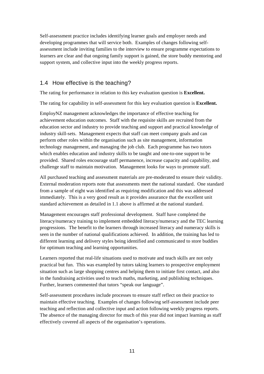Self-assessment practice includes identifying learner goals and employer needs and developing programmes that will service both. Examples of changes following selfassessment include inviting families to the interview to ensure programme expectations to learners are clear and that ongoing family support is gained, the store buddy mentoring and support system, and collective input into the weekly progress reports.

#### 1.4 How effective is the teaching?

The rating for performance in relation to this key evaluation question is **Excellent.**

The rating for capability in self-assessment for this key evaluation question is **Excellent.**

EmployNZ management acknowledges the importance of effective teaching for achievement education outcomes. Staff with the requisite skills are recruited from the education sector and industry to provide teaching and support and practical knowledge of industry skill-sets. Management expects that staff can meet company goals and can perform other roles within the organisation such as site management, information technology management, and managing the job club. Each programme has two tutors which enables education and industry skills to be taught and one-to-one support to be provided. Shared roles encourage staff permanence, increase capacity and capability, and challenge staff to maintain motivation. Management looks for ways to promote staff.

All purchased teaching and assessment materials are pre-moderated to ensure their validity. External moderation reports note that assessments meet the national standard. One standard from a sample of eight was identified as requiring modification and this was addressed immediately. This is a very good result as it provides assurance that the excellent unit standard achievement as detailed in 1.1 above is affirmed at the national standard.

Management encourages staff professional development. Staff have completed the literacy/numeracy training to implement embedded literacy/numeracy and the TEC learning progressions. The benefit to the learners through increased literacy and numeracy skills is seen in the number of national qualifications achieved. In addition, the training has led to different learning and delivery styles being identified and communicated to store buddies for optimum teaching and learning opportunities.

Learners reported that real-life situations used to motivate and teach skills are not only practical but fun. This was exampled by tutors taking learners to prospective employment situation such as large shopping centres and helping them to initiate first contact, and also in the fundraising activities used to teach maths, marketing, and publishing techniques. Further, learners commented that tutors "speak our language".

Self-assessment procedures include processes to ensure staff reflect on their practice to maintain effective teaching. Examples of changes following self-assessment include peer teaching and reflection and collective input and action following weekly progress reports. The absence of the managing director for much of this year did not impact learning as staff effectively covered all aspects of the organisation's operations.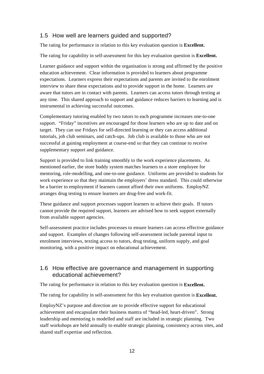#### 1.5 How well are learners guided and supported?

The rating for performance in relation to this key evaluation question is **Excellent.**

The rating for capability in self-assessment for this key evaluation question is **Excellent.**

Learner guidance and support within the organisation is strong and affirmed by the positive education achievement. Clear information is provided to learners about programme expectations. Learners express their expectations and parents are invited to the enrolment interview to share these expectations and to provide support in the home. Learners are aware that tutors are in contact with parents. Learners can access tutors through texting at any time. This shared approach to support and guidance reduces barriers to learning and is instrumental in achieving successful outcomes.

Complementary tutoring enabled by two tutors to each programme increases one-to-one support. "Friday" incentives are encouraged for those learners who are up to date and on target. They can use Fridays for self-directed learning or they can access additional tutorials, job club seminars, and catch-ups. Job club is available to those who are not successful at gaining employment at course-end so that they can continue to receive supplementary support and guidance.

Support is provided to link training smoothly to the work experience placements. As mentioned earlier, the store buddy system matches learners to a store employee for mentoring, role-modelling, and one-to-one guidance. Uniforms are provided to students for work experience so that they maintain the employers' dress standard. This could otherwise be a barrier to employment if learners cannot afford their own uniforms. EmployNZ arranges drug testing to ensure learners are drug-free and work-fit.

These guidance and support processes support learners to achieve their goals. If tutors cannot provide the required support, learners are advised how to seek support externally from available support agencies.

Self-assessment practice includes processes to ensure learners can access effective guidance and support. Examples of changes following self-assessment include parental input to enrolment interviews, texting access to tutors, drug testing, uniform supply, and goal monitoring, with a positive impact on educational achievement.

#### 1.6 How effective are governance and management in supporting educational achievement?

The rating for performance in relation to this key evaluation question is **Excellent.**

The rating for capability in self-assessment for this key evaluation question is **Excellent.**

EmployNZ's purpose and direction are to provide effective support for educational achievement and encapsulate their business mantra of "head-led, heart-driven". Strong leadership and mentoring is modelled and staff are included in strategic planning. Two staff workshops are held annually to enable strategic planning, consistency across sites, and shared staff expertise and reflection.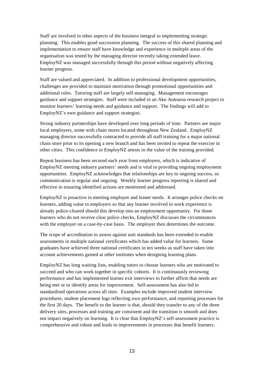Staff are involved in other aspects of the business integral to implementing strategic planning. This enables good succession planning. The success of this shared planning and implementation to ensure staff have knowledge and experience in multiple areas of the organisation was tested by the managing director recently taking extended leave. EmployNZ was managed successfully through this period without negatively affecting learner progress.

Staff are valued and appreciated. In addition to professional development opportunities, challenges are provided to maintain motivation through promotional opportunities and additional roles. Tutoring staff are largely self-managing. Management encourages guidance and support strategies. Staff were included in an Ako Aotearoa research project to monitor learners' learning needs and guidance and support. The findings will add to EmployNZ's own guidance and support strategies.

Strong industry partnerships have developed over long periods of time. Partners are major local employers, some with chain stores located throughout New Zealand. EmployNZ managing director successfully contracted to provide all staff training for a major national chain store prior to its opening a new branch and has been invited to repeat the exercise in other cities. This confidence in EmployNZ attests to the value of the training provided.

Repeat business has been secured each year from employers, which is indicative of EmployNZ meeting industry partners' needs and is vital to providing ongoing employment opportunities. EmployNZ acknowledges that relationships are key to ongoing success, so communication is regular and ongoing. Weekly learner progress reporting is shared and effective in ensuring identified actions are monitored and addressed.

EmployNZ is proactive in meeting employer and leaner needs. It arranges police checks on learners, adding value to employers so that any learner involved in work experience is already police-cleared should this develop into an employment opportunity. For those learners who do not receive clear police checks, EmployNZ discusses the circumstances with the employer on a case-by-case basis. The employer then determines the outcome.

The scope of accreditation to assess against unit standards has been extended to enable assessments in multiple national certificates which has added value for learners. Some graduates have achieved three national certificates in ten weeks as staff have taken into account achievements gained at other institutes when designing learning plans.

EmployNZ has long waiting lists, enabling tutors to choose learners who are motivated to succeed and who can work together in specific cohorts. It is continuously reviewing performance and has implemented learner exit interviews to further affirm that needs are being met or to identify areas for improvement. Self-assessment has also led to standardised operations across all sites. Examples include improved student interview procedures, student placement logs reflecting own performance, and reporting processes for the first 20 days. The benefit to the learner is that, should they transfer to any of the three delivery sites, processes and training are consistent and the transition is smooth and does not impact negatively on learning. It is clear that EmployNZ's self-assessment practice is comprehensive and robust and leads to improvements in processes that benefit learners.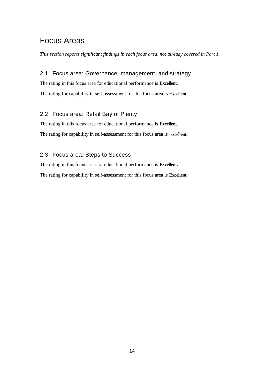### Focus Areas

*This section reports significant findings in each focus area, not already covered in Part 1.* 

#### 2.1 Focus area: Governance, management, and strategy

The rating in this focus area for educational performance is **Excellent.** The rating for capability in self-assessment for this focus area is **Excellent.** 

#### 2.2 Focus area: Retail Bay of Plenty

The rating in this focus area for educational performance is **Excellent.** The rating for capability in self-assessment for this focus area is **Excellent.** 

#### 2.3 Focus area: Steps to Success

The rating in this focus area for educational performance is **Excellent.**

The rating for capability in self-assessment for this focus area is **Excellent.**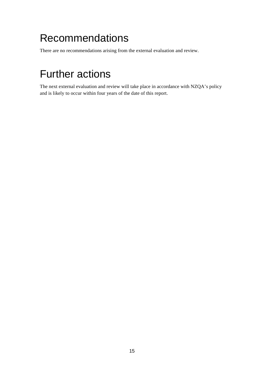## Recommendations

There are no recommendations arising from the external evaluation and review.

### Further actions

The next external evaluation and review will take place in accordance with NZQA's policy and is likely to occur within four years of the date of this report.